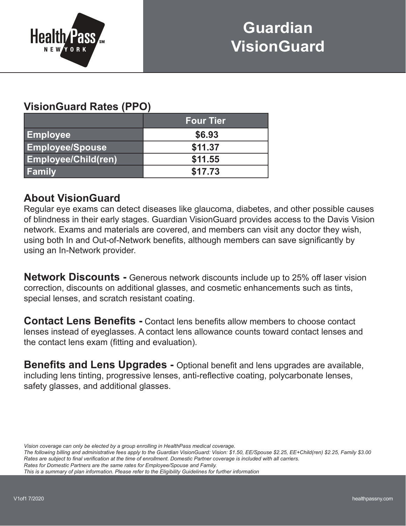

## **Guardian VisionGuard**

## **VisionGuard Rates (PPO)**

|                            | <b>Four Tier</b> |
|----------------------------|------------------|
| <b>Employee</b>            | \$6.93           |
| <b>Employee/Spouse</b>     | \$11.37          |
| <b>Employee/Child(ren)</b> | \$11.55          |
| <b>Family</b>              | \$17.73          |

## **About VisionGuard**

Regular eye exams can detect diseases like glaucoma, diabetes, and other possible causes of blindness in their early stages. Guardian VisionGuard provides access to the Davis Vision network. Exams and materials are covered, and members can visit any doctor they wish, using both In and Out-of-Network benefits, although members can save significantly by using an In-Network provider.

**Network Discounts -** Generous network discounts include up to 25% off laser vision correction, discounts on additional glasses, and cosmetic enhancements such as tints, special lenses, and scratch resistant coating.

**Contact Lens Benefits -** Contact lens benefits allow members to choose contact lenses instead of eyeglasses. A contact lens allowance counts toward contact lenses and the contact lens exam (fitting and evaluation).

**Benefits and Lens Upgrades -** Optional benefit and lens upgrades are available, including lens tinting, progressive lenses, anti-reflective coating, polycarbonate lenses, safety glasses, and additional glasses.

*Vision coverage can only be elected by a group enrolling in HealthPass medical coverage.*

*The following billing and administrative fees apply to the Guardian VisionGuard: Vision: \$1.50, EE/Spouse \$2.25, EE+Child(ren) \$2.25, Family \$3.00 Rates are subject to final verification at the time of enrollment. Domestic Partner coverage is included with all carriers. Rates for Domestic Partners are the same rates for Employee/Spouse and Family.*

*This is a summary of plan information. Please refer to the Eligibility Guidelines for further information*